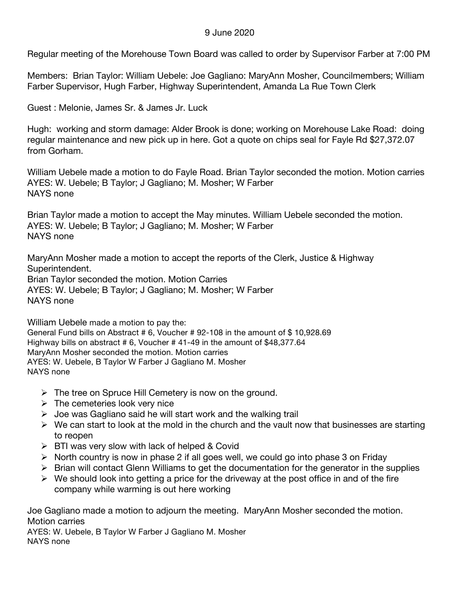## 9 June 2020

Regular meeting of the Morehouse Town Board was called to order by Supervisor Farber at 7:00 PM

Members: Brian Taylor: William Uebele: Joe Gagliano: MaryAnn Mosher, Councilmembers; William Farber Supervisor, Hugh Farber, Highway Superintendent, Amanda La Rue Town Clerk

Guest : Melonie, James Sr. & James Jr. Luck

Hugh: working and storm damage: Alder Brook is done; working on Morehouse Lake Road: doing regular maintenance and new pick up in here. Got a quote on chips seal for Fayle Rd \$27,372.07 from Gorham.

William Uebele made a motion to do Fayle Road. Brian Taylor seconded the motion. Motion carries AYES: W. Uebele; B Taylor; J Gagliano; M. Mosher; W Farber NAYS none

Brian Taylor made a motion to accept the May minutes. William Uebele seconded the motion. AYES: W. Uebele; B Taylor; J Gagliano; M. Mosher; W Farber NAYS none

MaryAnn Mosher made a motion to accept the reports of the Clerk, Justice & Highway Superintendent.

Brian Taylor seconded the motion. Motion Carries AYES: W. Uebele; B Taylor; J Gagliano; M. Mosher; W Farber NAYS none

William Uebele made a motion to pay the: General Fund bills on Abstract # 6, Voucher # 92-108 in the amount of \$ 10,928.69 Highway bills on abstract # 6, Voucher # 41-49 in the amount of \$48,377.64 MaryAnn Mosher seconded the motion. Motion carries AYES: W. Uebele, B Taylor W Farber J Gagliano M. Mosher NAYS none

- $\triangleright$  The tree on Spruce Hill Cemetery is now on the ground.
- $\triangleright$  The cemeteries look very nice
- $\triangleright$  Joe was Gagliano said he will start work and the walking trail
- $\triangleright$  We can start to look at the mold in the church and the vault now that businesses are starting to reopen
- $\triangleright$  BTI was very slow with lack of helped & Covid
- $\triangleright$  North country is now in phase 2 if all goes well, we could go into phase 3 on Friday
- $\triangleright$  Brian will contact Glenn Williams to get the documentation for the generator in the supplies
- $\triangleright$  We should look into getting a price for the driveway at the post office in and of the fire company while warming is out here working

Joe Gagliano made a motion to adjourn the meeting. MaryAnn Mosher seconded the motion. Motion carries

AYES: W. Uebele, B Taylor W Farber J Gagliano M. Mosher NAYS none